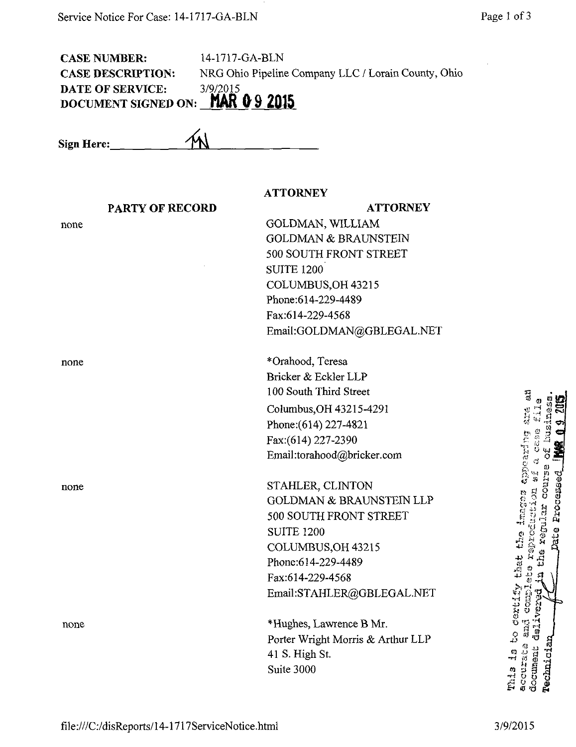| 14-1717-GA-BLN<br><b>CASE NUMBER:</b><br>NRG Ohio Pipeline Company LLC / Lorain County, Ohio<br><b>CASE DESCRIPTION:</b><br><b>DATE OF SERVICE:</b><br>3/9/2015<br>DOCUMENT SIGNED ON: MAR 0 9 2015 |  |                                               |                                         |  |
|-----------------------------------------------------------------------------------------------------------------------------------------------------------------------------------------------------|--|-----------------------------------------------|-----------------------------------------|--|
| Sign Here:                                                                                                                                                                                          |  |                                               |                                         |  |
|                                                                                                                                                                                                     |  | <b>ATTORNEY</b>                               |                                         |  |
| <b>PARTY OF RECORD</b>                                                                                                                                                                              |  | <b>ATTORNEY</b>                               |                                         |  |
| none                                                                                                                                                                                                |  | GOLDMAN, WILLIAM                              |                                         |  |
|                                                                                                                                                                                                     |  | <b>GOLDMAN &amp; BRAUNSTEIN</b>               |                                         |  |
|                                                                                                                                                                                                     |  | 500 SOUTH FRONT STREET                        |                                         |  |
|                                                                                                                                                                                                     |  | <b>SUITE 1200</b>                             |                                         |  |
|                                                                                                                                                                                                     |  | COLUMBUS, OH 43215                            |                                         |  |
|                                                                                                                                                                                                     |  | Phone:614-229-4489                            |                                         |  |
|                                                                                                                                                                                                     |  | Fax:614-229-4568<br>Email:GOLDMAN@GBLEGAL.NET |                                         |  |
|                                                                                                                                                                                                     |  |                                               |                                         |  |
| none                                                                                                                                                                                                |  | *Orahood, Teresa                              |                                         |  |
|                                                                                                                                                                                                     |  | Bricker & Eckler LLP                          |                                         |  |
|                                                                                                                                                                                                     |  | 100 South Third Street                        | I)<br>O                                 |  |
|                                                                                                                                                                                                     |  | Columbus, OH 43215-4291                       |                                         |  |
|                                                                                                                                                                                                     |  | Phone: (614) 227-4821                         |                                         |  |
|                                                                                                                                                                                                     |  | Fax:(614) 227-2390                            |                                         |  |
|                                                                                                                                                                                                     |  | Email:torahood@bricker.com                    | <b>CELLES</b>                           |  |
|                                                                                                                                                                                                     |  |                                               | é<br>S<br>$\frac{1}{N}$                 |  |
| none                                                                                                                                                                                                |  | STAHLER, CLINTON                              | COUTS                                   |  |
|                                                                                                                                                                                                     |  | <b>GOLDMAN &amp; BRAUNSTEIN LLP</b>           | Processed<br>images                     |  |
|                                                                                                                                                                                                     |  | 500 SOUTH FRONT STREET                        | product                                 |  |
|                                                                                                                                                                                                     |  | <b>SUITE 1200</b>                             | <b>Tregul</b><br>Date<br>$\mathbf{L}^2$ |  |
|                                                                                                                                                                                                     |  | COLUMBUS, OH 43215                            |                                         |  |
|                                                                                                                                                                                                     |  | Phone:614-229-4489                            | that<br>i)<br>Li                        |  |
|                                                                                                                                                                                                     |  | Fax:614-229-4568                              | å,                                      |  |
|                                                                                                                                                                                                     |  | Email:STAHLER@GBLEGAL.NET                     | Cortify<br>Coup.<br>ere.                |  |
| none                                                                                                                                                                                                |  | *Hughes, Lawrence B Mr.                       |                                         |  |
|                                                                                                                                                                                                     |  | Porter Wright Morris & Arthur LLP             | أندفث<br>$\frac{1}{2}$                  |  |
|                                                                                                                                                                                                     |  | 41 S. High St.                                | <b>CHALG</b><br>$\ddot{\Omega}$         |  |
|                                                                                                                                                                                                     |  | Suite 3000                                    | dnement<br>inici.<br>И,                 |  |

A? o o a»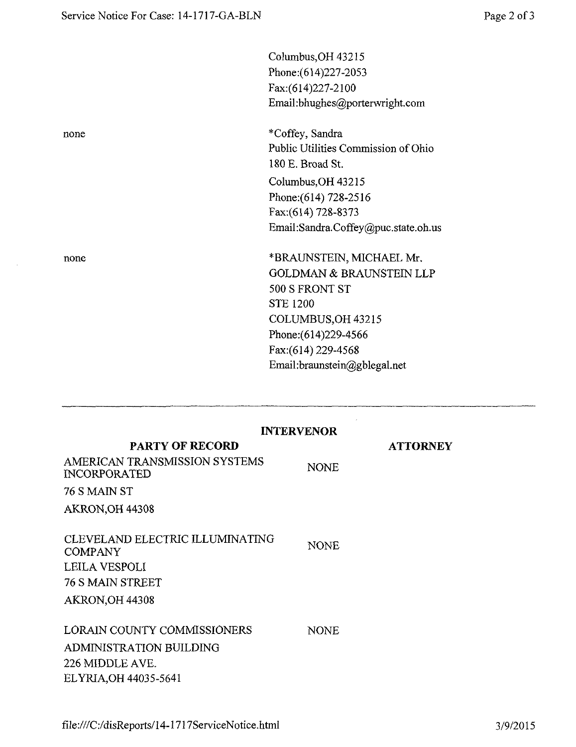none

none

 $\mathcal{A}$ 

| Columbus, OH 43215                  |
|-------------------------------------|
| Phone: (614) 227-2053               |
| Fax:(614)227-2100                   |
| Email:bhughes@porterwright.com      |
| *Coffey, Sandra                     |
| Public Utilities Commission of Ohio |
| 180 E. Broad St.                    |
| Columbus, OH 43215                  |
| Phone: (614) 728-2516               |
| Fax:(614) 728-8373                  |
| Email:Sandra.Coffey@puc.state.oh.us |
| *BRAUNSTEIN, MICHAEL Mr.            |
| <b>GOLDMAN &amp; BRAUNSTEIN LLP</b> |
| 500 S FRONT ST                      |
| <b>STE 1200</b>                     |
| COLUMBUS, OH 43215                  |
| Phone: (614) 229-4566               |
| Fax:(614) 229-4568                  |
| Email:braunstein@gblegal.net        |
|                                     |
|                                     |

|                                                      | <b>INTERVENOR</b> |                 |
|------------------------------------------------------|-------------------|-----------------|
| <b>PARTY OF RECORD</b>                               |                   | <b>ATTORNEY</b> |
| AMERICAN TRANSMISSION SYSTEMS<br><b>INCORPORATED</b> | <b>NONE</b>       |                 |
| 76 S MAIN ST                                         |                   |                 |
| AKRON, OH 44308                                      |                   |                 |
|                                                      |                   |                 |
| CLEVELAND ELECTRIC ILLUMINATING<br><b>COMPANY</b>    | <b>NONE</b>       |                 |
| LEILA VESPOLI                                        |                   |                 |
| 76 S MAIN STREET                                     |                   |                 |
| AKRON, OH 44308                                      |                   |                 |
|                                                      |                   |                 |
| LORAIN COUNTY COMMISSIONERS                          | <b>NONE</b>       |                 |
| ADMINISTRATION BUILDING                              |                   |                 |
| 226 MIDDLE AVE.                                      |                   |                 |
| ELYRIA, OH 44035-5641                                |                   |                 |

 $\mathcal{A}^{\mathcal{A}}$